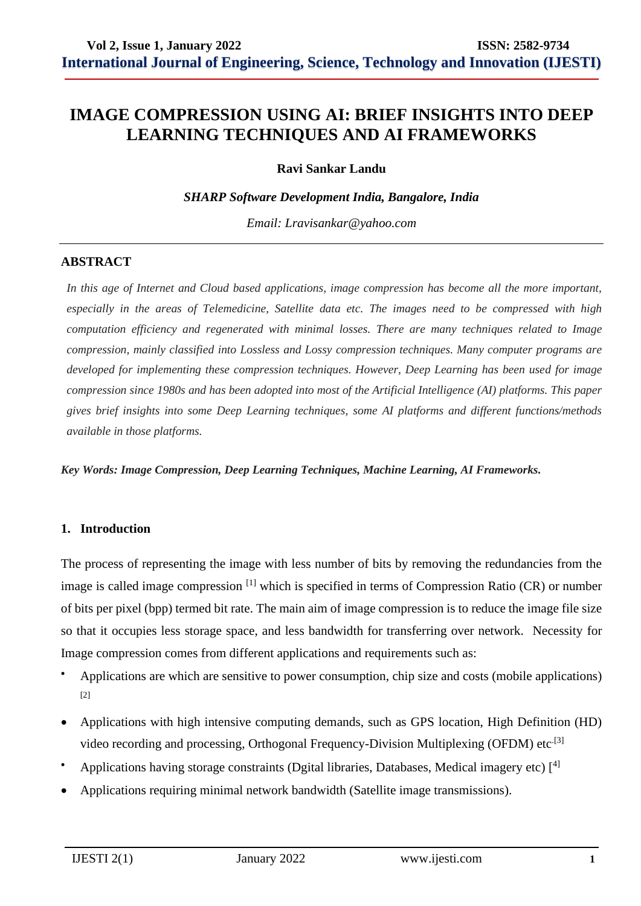# **IMAGE COMPRESSION USING AI: BRIEF INSIGHTS INTO DEEP LEARNING TECHNIQUES AND AI FRAMEWORKS**

**Ravi Sankar Landu**

*SHARP Software Development India, Bangalore, India*

*Email: [Lravisankar@yahoo.com](mailto:Lravisankar@yahoo.com)* 

### **ABSTRACT**

*In this age of Internet and Cloud based applications, image compression has become all the more important, especially in the areas of Telemedicine, Satellite data etc. The images need to be compressed with high computation efficiency and regenerated with minimal losses. There are many techniques related to Image compression, mainly classified into Lossless and Lossy compression techniques. Many computer programs are developed for implementing these compression techniques. However, Deep Learning has been used for image compression since 1980s and has been adopted into most of the Artificial Intelligence (AI) platforms. This paper gives brief insights into some Deep Learning techniques, some AI platforms and different functions/methods available in those platforms.*

*Key Words: Image Compression, Deep Learning Techniques, Machine Learning, AI Frameworks.* 

#### **1. Introduction**

The process of representing the image with less number of bits by removing the redundancies from the image is called image compression <sup>[1]</sup> which is specified in terms of Compression Ratio (CR) or number of bits per pixel (bpp) termed bit rate. The main aim of image compression is to reduce the image file size so that it occupies less storage space, and less bandwidth for transferring over network. Necessity for Image compression comes from different applications and requirements such as:

- Applications are which are sensitive to power consumption, chip size and costs (mobile applications) [2]
- Applications with high intensive computing demands, such as GPS location, High Definition (HD) video recording and processing, Orthogonal Frequency-Division Multiplexing (OFDM) etc $^{[3]}$
- Applications having storage constraints (Dgital libraries, Databases, Medical imagery etc)  $[4]$
- Applications requiring minimal network bandwidth (Satellite image transmissions).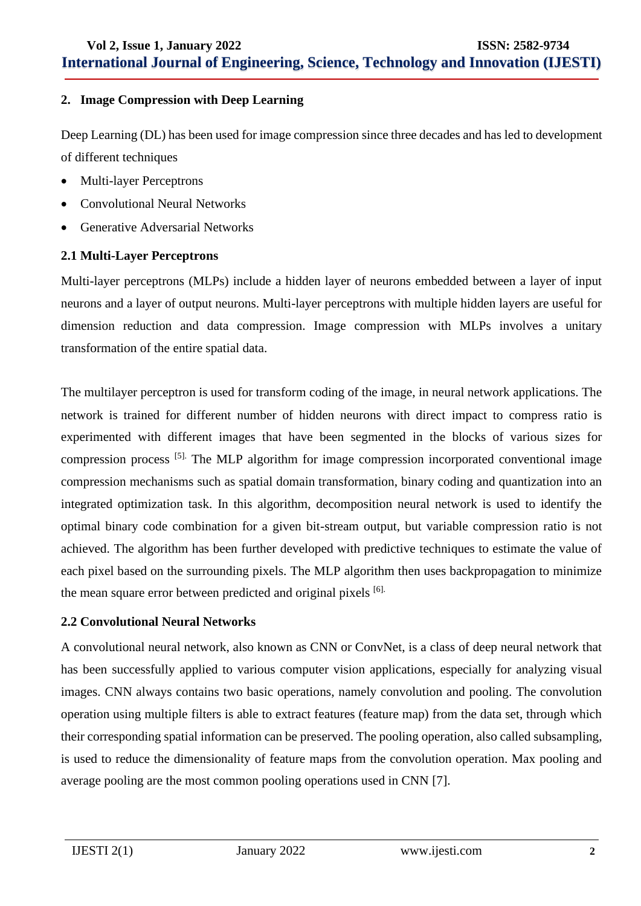### **2. Image Compression with Deep Learning**

Deep Learning (DL) has been used for image compression since three decades and has led to development of different techniques

- Multi-layer Perceptrons
- Convolutional Neural Networks
- Generative Adversarial Networks

### **2.1 Multi-Layer Perceptrons**

Multi-layer perceptrons (MLPs) include a hidden layer of neurons embedded between a layer of input neurons and a layer of output neurons. Multi-layer perceptrons with multiple hidden layers are useful for dimension reduction and data compression. Image compression with MLPs involves a unitary transformation of the entire spatial data.

The multilayer perceptron is used for transform coding of the image, in neural network applications. The network is trained for different number of hidden neurons with direct impact to compress ratio is experimented with different images that have been segmented in the blocks of various sizes for compression process [5]. The MLP algorithm for image compression incorporated conventional image compression mechanisms such as spatial domain transformation, binary coding and quantization into an integrated optimization task. In this algorithm, decomposition neural network is used to identify the optimal binary code combination for a given bit-stream output, but variable compression ratio is not achieved. The algorithm has been further developed with predictive techniques to estimate the value of each pixel based on the surrounding pixels. The MLP algorithm then uses backpropagation to minimize the mean square error between predicted and original pixels [6].

### **2.2 Convolutional Neural Networks**

A convolutional neural network, also known as CNN or ConvNet, is a class of deep neural network that has been successfully applied to various computer vision applications, especially for analyzing visual images. CNN always contains two basic operations, namely convolution and pooling. The convolution operation using multiple filters is able to extract features (feature map) from the data set, through which their corresponding spatial information can be preserved. The pooling operation, also called subsampling, is used to reduce the dimensionality of feature maps from the convolution operation. Max pooling and average pooling are the most common pooling operations used in CNN [7].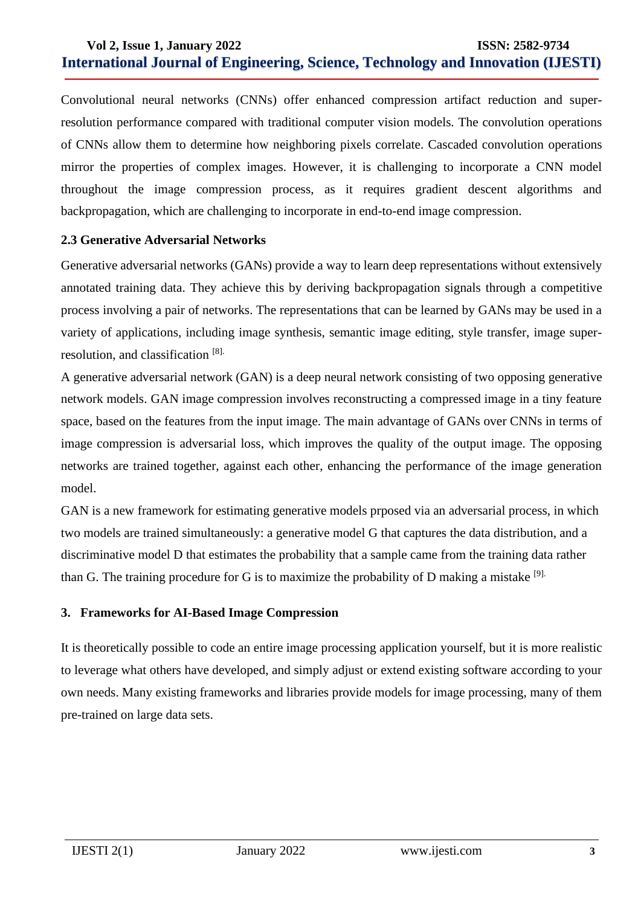Convolutional neural networks (CNNs) offer enhanced compression artifact reduction and superresolution performance compared with traditional computer vision models. The convolution operations of CNNs allow them to determine how neighboring pixels correlate. Cascaded convolution operations mirror the properties of complex images. However, it is challenging to incorporate a CNN model throughout the image compression process, as it requires gradient descent algorithms and backpropagation, which are challenging to incorporate in end-to-end image compression.

### **2.3 Generative Adversarial Networks**

Generative adversarial networks (GANs) provide a way to learn deep representations without extensively annotated training data. They achieve this by deriving backpropagation signals through a competitive process involving a pair of networks. The representations that can be learned by GANs may be used in a variety of applications, including image synthesis, semantic image editing, style transfer, image superresolution, and classification [8].

A generative adversarial network (GAN) is a deep neural network consisting of two opposing generative network models. GAN image compression involves reconstructing a compressed image in a tiny feature space, based on the features from the input image. The main advantage of GANs over CNNs in terms of image compression is adversarial loss, which improves the quality of the output image. The opposing networks are trained together, against each other, enhancing the performance of the image generation model.

GAN is a new framework for estimating generative models prposed via an adversarial process, in which two models are trained simultaneously: a generative model G that captures the data distribution, and a discriminative model D that estimates the probability that a sample came from the training data rather than G. The training procedure for G is to maximize the probability of D making a mistake  $[9]$ .

### **3. Frameworks for AI-Based Image Compression**

It is theoretically possible to code an entire image processing application yourself, but it is more realistic to leverage what others have developed, and simply adjust or extend existing software according to your own needs. Many existing frameworks and libraries provide models for image processing, many of them pre-trained on large data sets.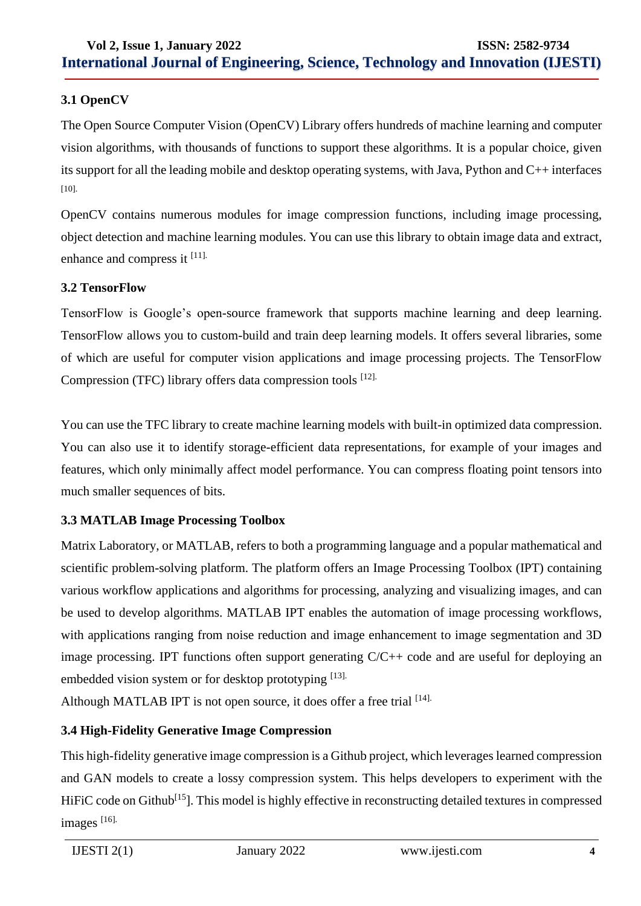## **3.1 OpenCV**

The Open Source Computer Vision (OpenCV) Library offers hundreds of machine learning and computer vision algorithms, with thousands of functions to support these algorithms. It is a popular choice, given its support for all the leading mobile and desktop operating systems, with Java, Python and C++ interfaces [10].

OpenCV contains numerous modules for image compression functions, including image processing, object detection and machine learning modules. You can use this library to obtain image data and extract, enhance and compress it [11].

### **3.2 TensorFlow**

TensorFlow is Google's open-source framework that supports machine learning and deep learning. TensorFlow allows you to custom-build and train deep learning models. It offers several libraries, some of which are useful for computer vision applications and image processing projects. The TensorFlow Compression (TFC) library offers data compression tools [12].

You can use the TFC library to create machine learning models with built-in optimized data compression. You can also use it to identify storage-efficient data representations, for example of your images and features, which only minimally affect model performance. You can compress floating point tensors into much smaller sequences of bits.

# **3.3 MATLAB Image Processing Toolbox**

Matrix Laboratory, or MATLAB, refers to both a programming language and a popular mathematical and scientific problem-solving platform. The platform offers an Image Processing Toolbox (IPT) containing various workflow applications and algorithms for processing, analyzing and visualizing images, and can be used to develop algorithms. MATLAB IPT enables the automation of image processing workflows, with applications ranging from noise reduction and image enhancement to image segmentation and 3D image processing. IPT functions often support generating C/C++ code and are useful for deploying an embedded vision system or for desktop prototyping [13].

Although MATLAB IPT is not open source, it does offer a free trial  $[14]$ .

# **3.4 High-Fidelity Generative Image Compression**

This high-fidelity generative image compression is a Github project, which leverages learned compression and GAN models to create a lossy compression system. This helps developers to experiment with the HiFiC code on Github<sup>[15</sup>]. This model is highly effective in reconstructing detailed textures in compressed images [16].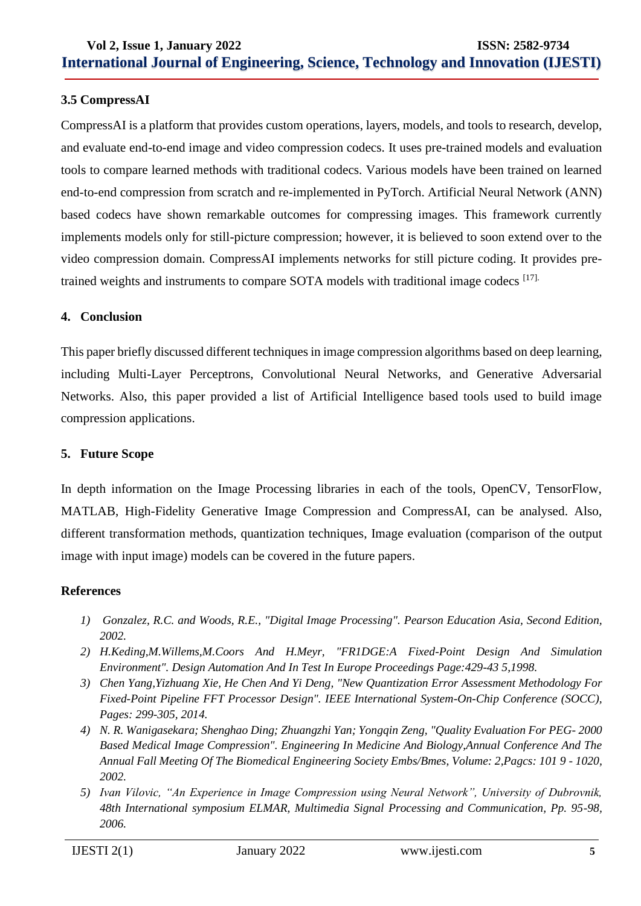### **3.5 CompressAI**

CompressAI is a platform that provides custom operations, layers, models, and tools to research, develop, and evaluate end-to-end image and video compression codecs. It uses pre-trained models and evaluation tools to compare learned methods with traditional codecs. Various models have been trained on learned end-to-end compression from scratch and re-implemented in PyTorch. Artificial Neural Network (ANN) based codecs have shown remarkable outcomes for compressing images. This framework currently implements models only for still-picture compression; however, it is believed to soon extend over to the video compression domain. CompressAI implements networks for still picture coding. It provides pretrained weights and instruments to compare SOTA models with traditional image codecs [17].

#### **4. Conclusion**

This paper briefly discussed different techniques in image compression algorithms based on deep learning, including Multi-Layer Perceptrons, Convolutional Neural Networks, and Generative Adversarial Networks. Also, this paper provided a list of Artificial Intelligence based tools used to build image compression applications.

### **5. Future Scope**

In depth information on the Image Processing libraries in each of the tools, OpenCV, TensorFlow, MATLAB, High-Fidelity Generative Image Compression and CompressAI, can be analysed. Also, different transformation methods, quantization techniques, Image evaluation (comparison of the output image with input image) models can be covered in the future papers.

#### **References**

- *1) Gonzalez, R.C. and Woods, R.E., "Digital Image Processing". Pearson Education Asia, Second Edition, 2002.*
- *2) H.Keding,M.Willems,M.Coors And H.Meyr, "FR1DGE:A Fixed-Point Design And Simulation Environment". Design Automation And In Test In Europe Proceedings Page:429-43 5,1998.*
- *3) Chen Yang,Yizhuang Xie, He Chen And Yi Deng, "New Quantization Error Assessment Methodology For Fixed-Point Pipeline FFT Processor Design". IEEE International System-On-Chip Conference (SOCC), Pages: 299-305, 2014.*
- *4) N. R. Wanigasekara; Shenghao Ding; Zhuangzhi Yan; Yongqin Zeng, "Quality Evaluation For PEG- 2000 Based Medical Image Compression". Engineering In Medicine And Biology,Annual Conference And The Annual Fall Meeting Of The Biomedical Engineering Society Embs/Bmes, Volume: 2,Pagcs: 101 9 - 1020, 2002.*
- *5) Ivan Vilovic, "An Experience in Image Compression using Neural Network", University of Dubrovnik, 48th International symposium ELMAR, Multimedia Signal Processing and Communication, Pp. 95-98, 2006.*